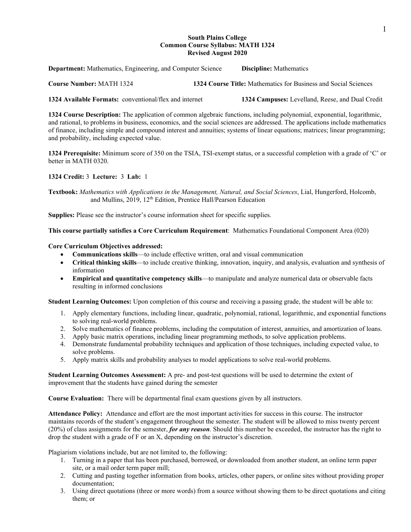# **South Plains College Common Course Syllabus: MATH 1324 Revised August 2020**

**Department:** Mathematics, Engineering, and Computer Science **Discipline:** Mathematics

**Course Number:** MATH 1324 **1324 Course Title:** Mathematics for Business and Social Sciences

**1324 Available Formats:** conventional/flex and internet **1324 Campuses:** Levelland, Reese, and Dual Credit

**1324 Course Description:** The application of common algebraic functions, including polynomial, exponential, logarithmic, and rational, to problems in business, economics, and the social sciences are addressed. The applications include mathematics of finance, including simple and compound interest and annuities; systems of linear equations; matrices; linear programming; and probability, including expected value.

**1324 Prerequisite:** Minimum score of 350 on the TSIA, TSI-exempt status, or a successful completion with a grade of 'C' or better in MATH 0320.

**1324 Credit:** 3 **Lecture:** 3 **Lab:** 1

**Textbook:** *Mathematics with Applications in the Management, Natural, and Social Sciences*, Lial, Hungerford, Holcomb, and Mullins, 2019, 12<sup>th</sup> Edition, Prentice Hall/Pearson Education

**Supplies:** Please see the instructor's course information sheet for specific supplies.

### **This course partially satisfies a Core Curriculum Requirement**: Mathematics Foundational Component Area (020)

### **Core Curriculum Objectives addressed:**

- **Communications skills**—to include effective written, oral and visual communication
- **Critical thinking skills**—to include creative thinking, innovation, inquiry, and analysis, evaluation and synthesis of information
- **Empirical and quantitative competency skills**—to manipulate and analyze numerical data or observable facts resulting in informed conclusions

**Student Learning Outcomes:** Upon completion of this course and receiving a passing grade, the student will be able to:

- 1. Apply elementary functions, including linear, quadratic, polynomial, rational, logarithmic, and exponential functions to solving real-world problems.
- 2. Solve mathematics of finance problems, including the computation of interest, annuities, and amortization of loans.
- 3. Apply basic matrix operations, including linear programming methods, to solve application problems.
- 4. Demonstrate fundamental probability techniques and application of those techniques, including expected value, to solve problems.
- 5. Apply matrix skills and probability analyses to model applications to solve real-world problems.

**Student Learning Outcomes Assessment:** A pre- and post-test questions will be used to determine the extent of improvement that the students have gained during the semester

**Course Evaluation:** There will be departmental final exam questions given by all instructors.

**Attendance Policy:** Attendance and effort are the most important activities for success in this course. The instructor maintains records of the student's engagement throughout the semester. The student will be allowed to miss twenty percent (20%) of class assignments for the semester, *for any reason*. Should this number be exceeded, the instructor has the right to drop the student with a grade of F or an X, depending on the instructor's discretion.

Plagiarism violations include, but are not limited to, the following:

- 1. Turning in a paper that has been purchased, borrowed, or downloaded from another student, an online term paper site, or a mail order term paper mill;
- 2. Cutting and pasting together information from books, articles, other papers, or online sites without providing proper documentation;
- 3. Using direct quotations (three or more words) from a source without showing them to be direct quotations and citing them; or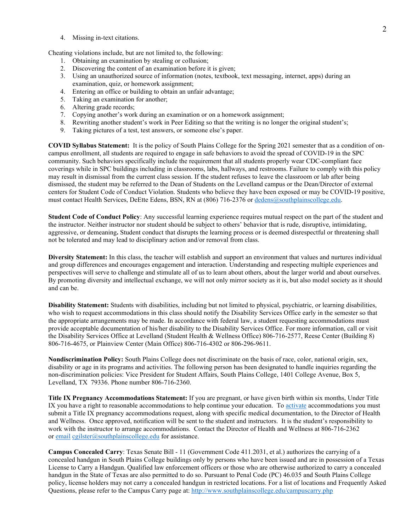4. Missing in-text citations.

Cheating violations include, but are not limited to, the following:

- 1. Obtaining an examination by stealing or collusion;
- 2. Discovering the content of an examination before it is given;
- 3. Using an unauthorized source of information (notes, textbook, text messaging, internet, apps) during an examination, quiz, or homework assignment;
- 4. Entering an office or building to obtain an unfair advantage;
- 5. Taking an examination for another;
- 6. Altering grade records;
- 7. Copying another's work during an examination or on a homework assignment;
- 8. Rewriting another student's work in Peer Editing so that the writing is no longer the original student's;
- 9. Taking pictures of a test, test answers, or someone else's paper.

**COVID Syllabus Statement:** It is the policy of South Plains College for the Spring 2021 semester that as a condition of oncampus enrollment, all students are required to engage in safe behaviors to avoid the spread of COVID-19 in the SPC community. Such behaviors specifically include the requirement that all students properly wear CDC-compliant face coverings while in SPC buildings including in classrooms, labs, hallways, and restrooms. Failure to comply with this policy may result in dismissal from the current class session. If the student refuses to leave the classroom or lab after being dismissed, the student may be referred to the Dean of Students on the Levelland campus or the Dean/Director of external centers for Student Code of Conduct Violation. Students who believe they have been exposed or may be COVID-19 positive, must contact Health Services, DeEtte Edens, BSN, RN at (806) 716-2376 or [dedens@southplainscollege.edu.](mailto:dedens@southplainscollege.edu)

**Student Code of Conduct Policy**: Any successful learning experience requires mutual respect on the part of the student and the instructor. Neither instructor nor student should be subject to others' behavior that is rude, disruptive, intimidating, aggressive, or demeaning**.** Student conduct that disrupts the learning process or is deemed disrespectful or threatening shall not be tolerated and may lead to disciplinary action and/or removal from class.

**Diversity Statement:** In this class, the teacher will establish and support an environment that values and nurtures individual and group differences and encourages engagement and interaction. Understanding and respecting multiple experiences and perspectives will serve to challenge and stimulate all of us to learn about others, about the larger world and about ourselves. By promoting diversity and intellectual exchange, we will not only mirror society as it is, but also model society as it should and can be.

**Disability Statement:** Students with disabilities, including but not limited to physical, psychiatric, or learning disabilities, who wish to request accommodations in this class should notify the Disability Services Office early in the semester so that the appropriate arrangements may be made. In accordance with federal law, a student requesting accommodations must provide acceptable documentation of his/her disability to the Disability Services Office. For more information, call or visit the Disability Services Office at Levelland (Student Health & Wellness Office) 806-716-2577, Reese Center (Building 8) 806-716-4675, or Plainview Center (Main Office) 806-716-4302 or 806-296-9611.

**Nondiscrimination Policy:** South Plains College does not discriminate on the basis of race, color, national origin, sex, disability or age in its programs and activities. The following person has been designated to handle inquiries regarding the non-discrimination policies: Vice President for Student Affairs, South Plains College, 1401 College Avenue, Box 5, Levelland, TX 79336. Phone number 806-716-2360.

**Title IX Pregnancy Accommodations Statement:** If you are pregnant, or have given birth within six months, Under Title IX you have a right to reasonable accommodations to help continue your education. To [activate](http://www.southplainscollege.edu/employees/manualshandbooks/facultyhandbook/sec4.php) accommodations you must submit a Title IX pregnancy accommodations request, along with specific medical documentation, to the Director of Health and Wellness. Once approved, notification will be sent to the student and instructors. It is the student's responsibility to work with the instructor to arrange accommodations. Contact the Director of Health and Wellness at 806-716-2362 or [email](http://www.southplainscollege.edu/employees/manualshandbooks/facultyhandbook/sec4.php) [cgilster@southplainscollege.edu](mailto:cgilster@southplainscollege.edu) for assistance.

**Campus Concealed Carry**: Texas Senate Bill - 11 (Government Code 411.2031, et al.) authorizes the carrying of a concealed handgun in South Plains College buildings only by persons who have been issued and are in possession of a Texas License to Carry a Handgun. Qualified law enforcement officers or those who are otherwise authorized to carry a concealed handgun in the State of Texas are also permitted to do so. Pursuant to Penal Code (PC) 46.035 and South Plains College policy, license holders may not carry a concealed handgun in restricted locations. For a list of locations and Frequently Asked Questions, please refer to the Campus Carry page at: <http://www.southplainscollege.edu/campuscarry.php>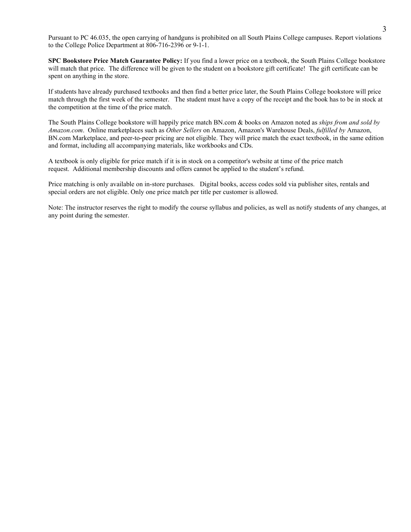Pursuant to PC 46.035, the open carrying of handguns is prohibited on all South Plains College campuses. Report violations to the College Police Department at 806-716-2396 or 9-1-1.

**SPC Bookstore Price Match Guarantee Policy:** If you find a lower price on a textbook, the South Plains College bookstore will match that price. The difference will be given to the student on a bookstore gift certificate! The gift certificate can be spent on anything in the store.

If students have already purchased textbooks and then find a better price later, the South Plains College bookstore will price match through the first week of the semester. The student must have a copy of the receipt and the book has to be in stock at the competition at the time of the price match.

The South Plains College bookstore will happily price match BN.com & books on Amazon noted as *ships from and sold by Amazon.com*. Online marketplaces such as *Other Sellers* on Amazon, Amazon's Warehouse Deals, *fulfilled by* Amazon, BN.com Marketplace, and peer-to-peer pricing are not eligible. They will price match the exact textbook, in the same edition and format, including all accompanying materials, like workbooks and CDs.

A textbook is only eligible for price match if it is in stock on a competitor's website at time of the price match request. Additional membership discounts and offers cannot be applied to the student's refund.

Price matching is only available on in-store purchases. Digital books, access codes sold via publisher sites, rentals and special orders are not eligible. Only one price match per title per customer is allowed.

Note: The instructor reserves the right to modify the course syllabus and policies, as well as notify students of any changes, at any point during the semester.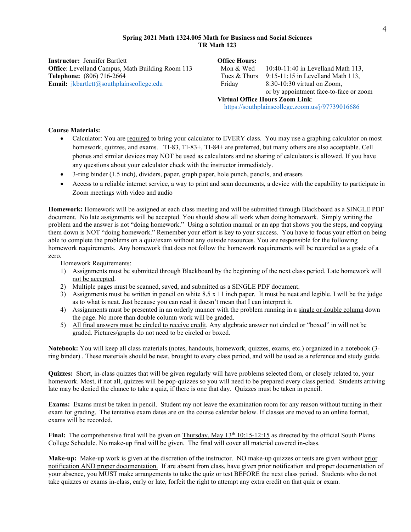## **Spring 2021 Math 1324.005 Math for Business and Social Sciences TR Math 123**

**Instructor:** Jennifer Bartlett **Office Hours: Office**: Levelland Campus, Math Building Room 113 **Telephone:** (806) 716-2664 **Email:** *[jkbartlett@southplainscollege.edu](mailto:jkbartlett@southplainscollege.edu)* 

| Mon & Wed                              | 10:40-11:40 in Levelland Math 113,               |  |  |  |
|----------------------------------------|--------------------------------------------------|--|--|--|
| Tues & Thurs                           | 9:15-11:15 in Levelland Math 113,                |  |  |  |
| Friday                                 | $8:30-10:30$ virtual on Zoom,                    |  |  |  |
|                                        | or by appointment face-to-face or zoom           |  |  |  |
| <b>Virtual Office Hours Zoom Link:</b> |                                                  |  |  |  |
|                                        | https://southplainscollege.zoom.us/j/97739016686 |  |  |  |

# **Course Materials:**

- Calculator: You are required to bring your calculator to EVERY class. You may use a graphing calculator on most homework, quizzes, and exams. TI-83, TI-83+, TI-84+ are preferred, but many others are also acceptable. Cell phones and similar devices may NOT be used as calculators and no sharing of calculators is allowed. If you have any questions about your calculator check with the instructor immediately.
- 3-ring binder (1.5 inch), dividers, paper, graph paper, hole punch, pencils, and erasers
- Access to a reliable internet service, a way to print and scan documents, a device with the capability to participate in Zoom meetings with video and audio

**Homework:** Homework will be assigned at each class meeting and will be submitted through Blackboard as a SINGLE PDF document. No late assignments will be accepted. You should show all work when doing homework. Simply writing the problem and the answer is not "doing homework." Using a solution manual or an app that shows you the steps, and copying them down is NOT "doing homework." Remember your effort is key to your success. You have to focus your effort on being able to complete the problems on a quiz/exam without any outside resources. You are responsible for the following homework requirements. Any homework that does not follow the homework requirements will be recorded as a grade of a zero.

Homework Requirements:

- 1) Assignments must be submitted through Blackboard by the beginning of the next class period. Late homework will not be accepted.
- 2) Multiple pages must be scanned, saved, and submitted as a SINGLE PDF document.
- 3) Assignments must be written in pencil on white 8.5 x 11 inch paper. It must be neat and legible. I will be the judge as to what is neat. Just because you can read it doesn't mean that I can interpret it.
- 4) Assignments must be presented in an orderly manner with the problem running in a single or double column down the page. No more than double column work will be graded.
- 5) All final answers must be circled to receive credit. Any algebraic answer not circled or "boxed" in will not be graded. Pictures/graphs do not need to be circled or boxed.

**Notebook:** You will keep all class materials (notes, handouts, homework, quizzes, exams, etc.) organized in a notebook (3 ring binder) . These materials should be neat, brought to every class period, and will be used as a reference and study guide.

**Quizzes:** Short, in-class quizzes that will be given regularly will have problems selected from, or closely related to, your homework. Most, if not all, quizzes will be pop-quizzes so you will need to be prepared every class period. Students arriving late may be denied the chance to take a quiz, if there is one that day. Quizzes must be taken in pencil.

**Exams:** Exams must be taken in pencil. Student my not leave the examination room for any reason without turning in their exam for grading. The tentative exam dates are on the course calendar below. If classes are moved to an online format, exams will be recorded.

**Final:** The comprehensive final will be given on Thursday, May 13<sup>th</sup> 10:15-12:15 as directed by the official South Plains College Schedule. No make-up final will be given. The final will cover all material covered in-class.

**Make-up:** Make-up work is given at the discretion of the instructor. NO make-up quizzes or tests are given without prior notification AND proper documentation. If are absent from class, have given prior notification and proper documentation of your absence, you MUST make arrangements to take the quiz or test BEFORE the next class period. Students who do not take quizzes or exams in-class, early or late, forfeit the right to attempt any extra credit on that quiz or exam.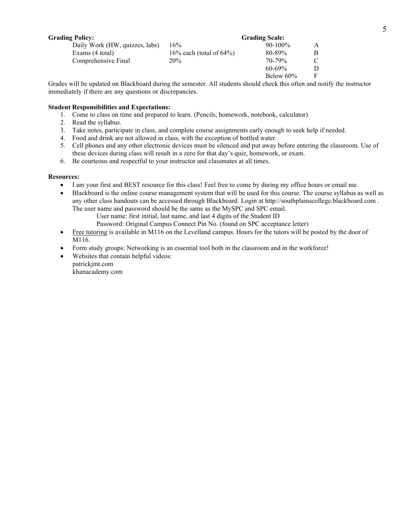| <b>Grading Policy:</b>         | <b>Grading Scale:</b>        |              |   |
|--------------------------------|------------------------------|--------------|---|
| Daily Work (HW, quizzes, labs) | 16%                          | $90 - 100\%$ | A |
| Exams (4 total)                | 16\% each (total of $64\%$ ) | 80-89%       | B |
| Comprehensive Final            | 20%                          | $70 - 79\%$  |   |
|                                |                              | $60 - 69\%$  | D |
|                                |                              | Below $60\%$ | F |

Grades will be updated on Blackboard during the semester. All students should check this often and notify the instructor immediately if there are any questions or discrepancies.

# **Student Responsibilities and Expectations:**

- 1. Come to class on time and prepared to learn. (Pencils, homework, notebook, calculator)
- 2. Read the syllabus.
- 3. Take notes, participate in class, and complete course assignments early enough to seek help if needed.
- 4. Food and drink are not allowed in class, with the exception of bottled water.
- 5. Cell phones and any other electronic devices must be silenced and put away before entering the classroom. Use of these devices during class will result in a zero for that day's quiz, homework, or exam.
- 6. Be courteous and respectful to your instructor and classmates at all times.

### **Resources:**

- I am your first and BEST resource for this class! Feel free to come by during my office hours or email me.
- Blackboard is the online course management system that will be used for this course. The course syllabus as well as any other class handouts can be accessed through Blackboard. Login at http://southplainscollege.blackboard.com . The user name and password should be the same as the MySPC and SPC email.
	- User name: first initial, last name, and last 4 digits of the Student ID

Password: Original Campus Connect Pin No. (found on SPC acceptance letter)

- Free tutoring is available in M116 on the Levelland campus. Hours for the tutors will be posted by the door of M116.
- Form study groups: Networking is an essential tool both in the classroom and in the workforce!
- Websites that contain helpful videos: patrickjmt.com khanacademy.com